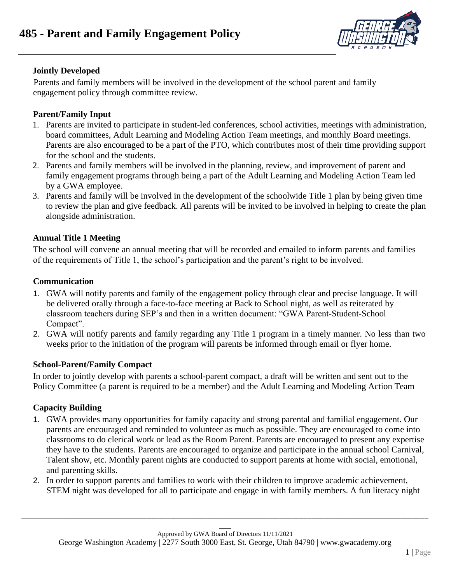

# **Jointly Developed**

Parents and family members will be involved in the development of the school parent and family engagement policy through committee review.

## **Parent/Family Input**

- 1. Parents are invited to participate in student-led conferences, school activities, meetings with administration, board committees, Adult Learning and Modeling Action Team meetings, and monthly Board meetings. Parents are also encouraged to be a part of the PTO, which contributes most of their time providing support for the school and the students.
- 2. Parents and family members will be involved in the planning, review, and improvement of parent and family engagement programs through being a part of the Adult Learning and Modeling Action Team led by a GWA employee.
- 3. Parents and family will be involved in the development of the schoolwide Title 1 plan by being given time to review the plan and give feedback. All parents will be invited to be involved in helping to create the plan alongside administration.

# **Annual Title 1 Meeting**

The school will convene an annual meeting that will be recorded and emailed to inform parents and families of the requirements of Title 1, the school's participation and the parent's right to be involved.

#### **Communication**

- 1. GWA will notify parents and family of the engagement policy through clear and precise language. It will be delivered orally through a face-to-face meeting at Back to School night, as well as reiterated by classroom teachers during SEP's and then in a written document: "GWA Parent-Student-School Compact".
- 2. GWA will notify parents and family regarding any Title 1 program in a timely manner. No less than two weeks prior to the initiation of the program will parents be informed through email or flyer home.

# **School-Parent/Family Compact**

In order to jointly develop with parents a school-parent compact, a draft will be written and sent out to the Policy Committee (a parent is required to be a member) and the Adult Learning and Modeling Action Team

# **Capacity Building**

- 1. GWA provides many opportunities for family capacity and strong parental and familial engagement. Our parents are encouraged and reminded to volunteer as much as possible. They are encouraged to come into classrooms to do clerical work or lead as the Room Parent. Parents are encouraged to present any expertise they have to the students. Parents are encouraged to organize and participate in the annual school Carnival, Talent show, etc. Monthly parent nights are conducted to support parents at home with social, emotional, and parenting skills.
- 2. In order to support parents and families to work with their children to improve academic achievement, STEM night was developed for all to participate and engage in with family members. A fun literacy night

\_\_\_\_\_\_\_\_\_\_\_\_\_\_\_\_\_\_\_\_\_\_\_\_\_\_\_\_\_\_\_\_\_\_\_\_\_\_\_\_\_\_\_\_\_\_\_\_\_\_\_\_\_\_\_\_\_\_\_\_\_\_\_\_\_\_\_\_\_\_\_\_\_\_\_\_\_\_\_\_\_\_\_\_\_\_\_\_\_\_\_\_\_\_\_\_\_\_\_\_\_